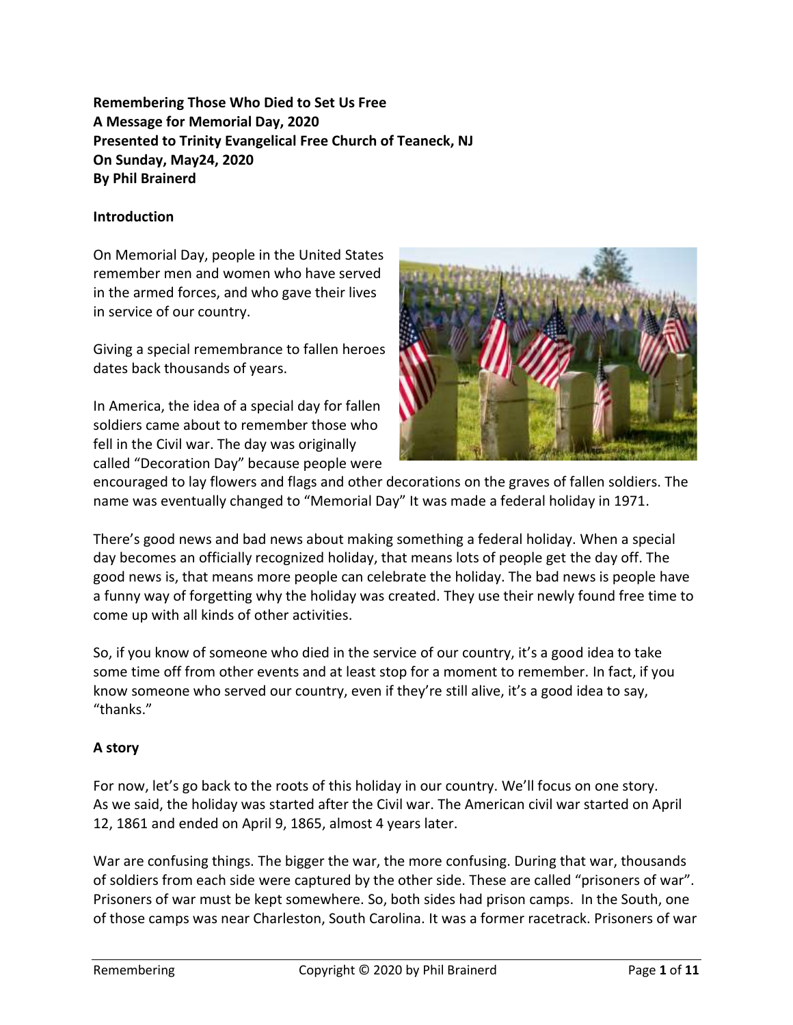**Remembering Those Who Died to Set Us Free A Message for Memorial Day, 2020 Presented to Trinity Evangelical Free Church of Teaneck, NJ On Sunday, May24, 2020 By Phil Brainerd**

### **Introduction**

On Memorial Day, people in the United States remember men and women who have served in the armed forces, and who gave their lives in service of our country.

Giving a special remembrance to fallen heroes dates back thousands of years.

In America, the idea of a special day for fallen soldiers came about to remember those who fell in the Civil war. The day was originally called "Decoration Day" because people were



encouraged to lay flowers and flags and other decorations on the graves of fallen soldiers. The name was eventually changed to "Memorial Day" It was made a federal holiday in 1971.

There's good news and bad news about making something a federal holiday. When a special day becomes an officially recognized holiday, that means lots of people get the day off. The good news is, that means more people can celebrate the holiday. The bad news is people have a funny way of forgetting why the holiday was created. They use their newly found free time to come up with all kinds of other activities.

So, if you know of someone who died in the service of our country, it's a good idea to take some time off from other events and at least stop for a moment to remember. In fact, if you know someone who served our country, even if they're still alive, it's a good idea to say, "thanks."

#### **A story**

For now, let's go back to the roots of this holiday in our country. We'll focus on one story. As we said, the holiday was started after the Civil war. The American civil war started on April 12, 1861 and ended on April 9, 1865, almost 4 years later.

War are confusing things. The bigger the war, the more confusing. During that war, thousands of soldiers from each side were captured by the other side. These are called "prisoners of war". Prisoners of war must be kept somewhere. So, both sides had prison camps. In the South, one of those camps was near Charleston, South Carolina. It was a former racetrack. Prisoners of war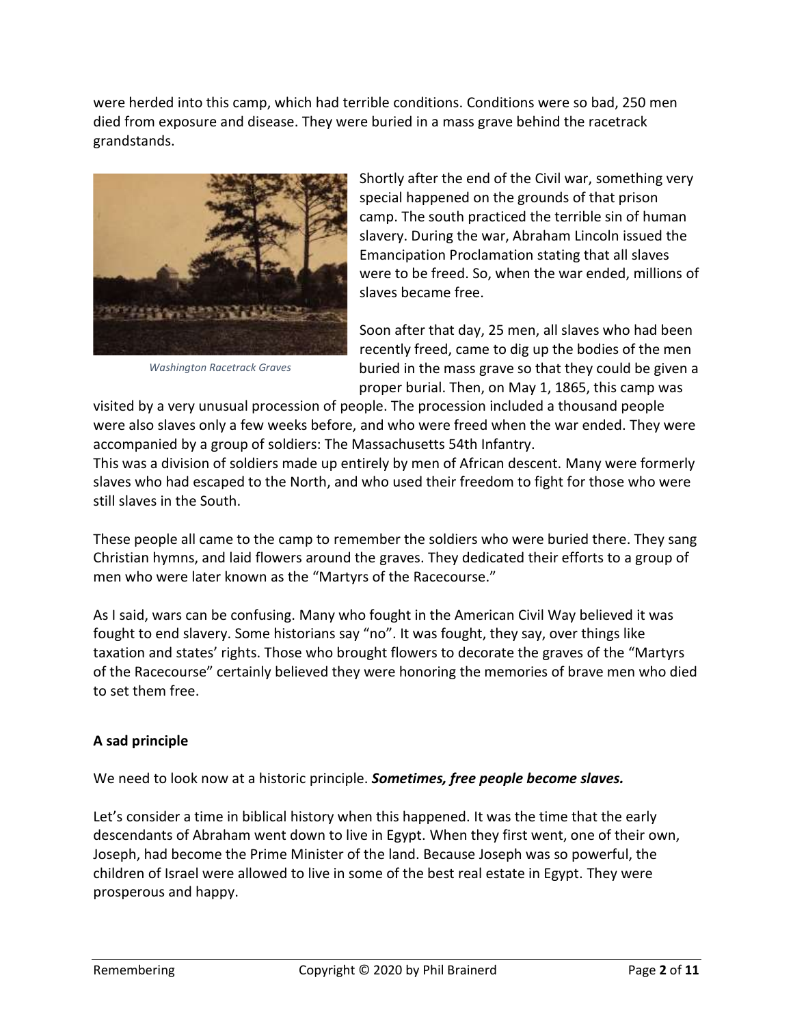were herded into this camp, which had terrible conditions. Conditions were so bad, 250 men died from exposure and disease. They were buried in a mass grave behind the racetrack grandstands.



*Washington Racetrack Graves*

Shortly after the end of the Civil war, something very special happened on the grounds of that prison camp. The south practiced the terrible sin of human slavery. During the war, Abraham Lincoln issued the Emancipation Proclamation stating that all slaves were to be freed. So, when the war ended, millions of slaves became free.

Soon after that day, 25 men, all slaves who had been recently freed, came to dig up the bodies of the men buried in the mass grave so that they could be given a proper burial. Then, on May 1, 1865, this camp was

visited by a very unusual procession of people. The procession included a thousand people were also slaves only a few weeks before, and who were freed when the war ended. They were accompanied by a group of soldiers: The Massachusetts 54th Infantry.

This was a division of soldiers made up entirely by men of African descent. Many were formerly slaves who had escaped to the North, and who used their freedom to fight for those who were still slaves in the South.

These people all came to the camp to remember the soldiers who were buried there. They sang Christian hymns, and laid flowers around the graves. They dedicated their efforts to a group of men who were later known as the "Martyrs of the Racecourse."

As I said, wars can be confusing. Many who fought in the American Civil Way believed it was fought to end slavery. Some historians say "no". It was fought, they say, over things like taxation and states' rights. Those who brought flowers to decorate the graves of the "Martyrs of the Racecourse" certainly believed they were honoring the memories of brave men who died to set them free.

# **A sad principle**

We need to look now at a historic principle. *Sometimes, free people become slaves.*

Let's consider a time in biblical history when this happened. It was the time that the early descendants of Abraham went down to live in Egypt. When they first went, one of their own, Joseph, had become the Prime Minister of the land. Because Joseph was so powerful, the children of Israel were allowed to live in some of the best real estate in Egypt. They were prosperous and happy.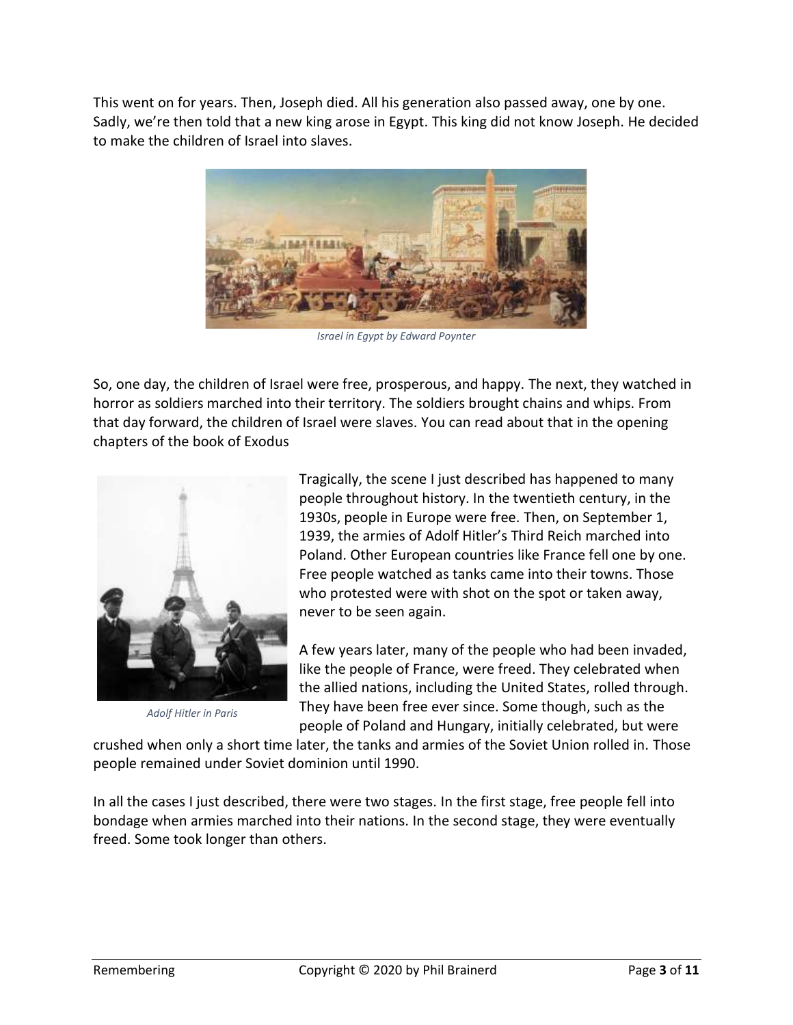This went on for years. Then, Joseph died. All his generation also passed away, one by one. Sadly, we're then told that a new king arose in Egypt. This king did not know Joseph. He decided to make the children of Israel into slaves.



*Israel in Egypt by Edward Poynter*

So, one day, the children of Israel were free, prosperous, and happy. The next, they watched in horror as soldiers marched into their territory. The soldiers brought chains and whips. From that day forward, the children of Israel were slaves. You can read about that in the opening chapters of the book of Exodus



*Adolf Hitler in Paris*

Tragically, the scene I just described has happened to many people throughout history. In the twentieth century, in the 1930s, people in Europe were free. Then, on September 1, 1939, the armies of Adolf Hitler's Third Reich marched into Poland. Other European countries like France fell one by one. Free people watched as tanks came into their towns. Those who protested were with shot on the spot or taken away, never to be seen again.

A few years later, many of the people who had been invaded, like the people of France, were freed. They celebrated when the allied nations, including the United States, rolled through. They have been free ever since. Some though, such as the people of Poland and Hungary, initially celebrated, but were

crushed when only a short time later, the tanks and armies of the Soviet Union rolled in. Those people remained under Soviet dominion until 1990.

In all the cases I just described, there were two stages. In the first stage, free people fell into bondage when armies marched into their nations. In the second stage, they were eventually freed. Some took longer than others.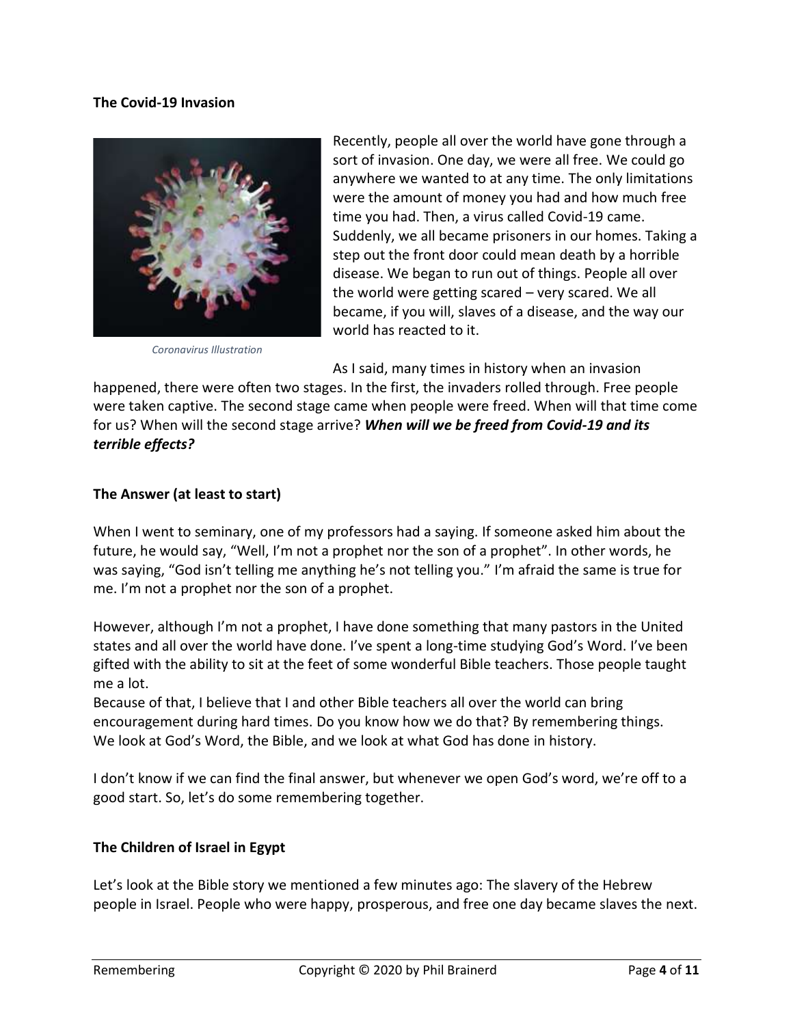#### **The Covid-19 Invasion**



*Coronavirus Illustration*

Recently, people all over the world have gone through a sort of invasion. One day, we were all free. We could go anywhere we wanted to at any time. The only limitations were the amount of money you had and how much free time you had. Then, a virus called Covid-19 came. Suddenly, we all became prisoners in our homes. Taking a step out the front door could mean death by a horrible disease. We began to run out of things. People all over the world were getting scared – very scared. We all became, if you will, slaves of a disease, and the way our world has reacted to it.

As I said, many times in history when an invasion

happened, there were often two stages. In the first, the invaders rolled through. Free people were taken captive. The second stage came when people were freed. When will that time come for us? When will the second stage arrive? *When will we be freed from Covid-19 and its terrible effects?*

### **The Answer (at least to start)**

When I went to seminary, one of my professors had a saying. If someone asked him about the future, he would say, "Well, I'm not a prophet nor the son of a prophet". In other words, he was saying, "God isn't telling me anything he's not telling you." I'm afraid the same is true for me. I'm not a prophet nor the son of a prophet.

However, although I'm not a prophet, I have done something that many pastors in the United states and all over the world have done. I've spent a long-time studying God's Word. I've been gifted with the ability to sit at the feet of some wonderful Bible teachers. Those people taught me a lot.

Because of that, I believe that I and other Bible teachers all over the world can bring encouragement during hard times. Do you know how we do that? By remembering things. We look at God's Word, the Bible, and we look at what God has done in history.

I don't know if we can find the final answer, but whenever we open God's word, we're off to a good start. So, let's do some remembering together.

#### **The Children of Israel in Egypt**

Let's look at the Bible story we mentioned a few minutes ago: The slavery of the Hebrew people in Israel. People who were happy, prosperous, and free one day became slaves the next.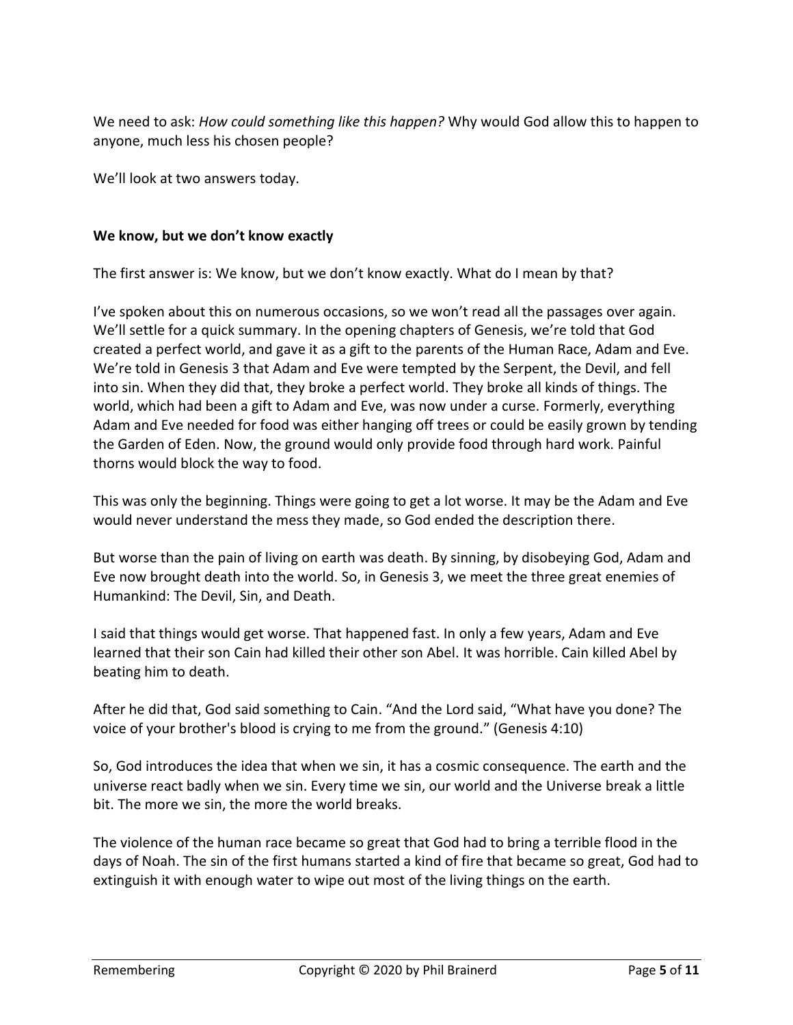We need to ask: *How could something like this happen?* Why would God allow this to happen to anyone, much less his chosen people?

We'll look at two answers today.

#### **We know, but we don't know exactly**

The first answer is: We know, but we don't know exactly. What do I mean by that?

I've spoken about this on numerous occasions, so we won't read all the passages over again. We'll settle for a quick summary. In the opening chapters of Genesis, we're told that God created a perfect world, and gave it as a gift to the parents of the Human Race, Adam and Eve. We're told in Genesis 3 that Adam and Eve were tempted by the Serpent, the Devil, and fell into sin. When they did that, they broke a perfect world. They broke all kinds of things. The world, which had been a gift to Adam and Eve, was now under a curse. Formerly, everything Adam and Eve needed for food was either hanging off trees or could be easily grown by tending the Garden of Eden. Now, the ground would only provide food through hard work. Painful thorns would block the way to food.

This was only the beginning. Things were going to get a lot worse. It may be the Adam and Eve would never understand the mess they made, so God ended the description there.

But worse than the pain of living on earth was death. By sinning, by disobeying God, Adam and Eve now brought death into the world. So, in Genesis 3, we meet the three great enemies of Humankind: The Devil, Sin, and Death.

I said that things would get worse. That happened fast. In only a few years, Adam and Eve learned that their son Cain had killed their other son Abel. It was horrible. Cain killed Abel by beating him to death.

After he did that, God said something to Cain. "And the Lord said, "What have you done? The voice of your brother's blood is crying to me from the ground." (Genesis 4:10)

So, God introduces the idea that when we sin, it has a cosmic consequence. The earth and the universe react badly when we sin. Every time we sin, our world and the Universe break a little bit. The more we sin, the more the world breaks.

The violence of the human race became so great that God had to bring a terrible flood in the days of Noah. The sin of the first humans started a kind of fire that became so great, God had to extinguish it with enough water to wipe out most of the living things on the earth.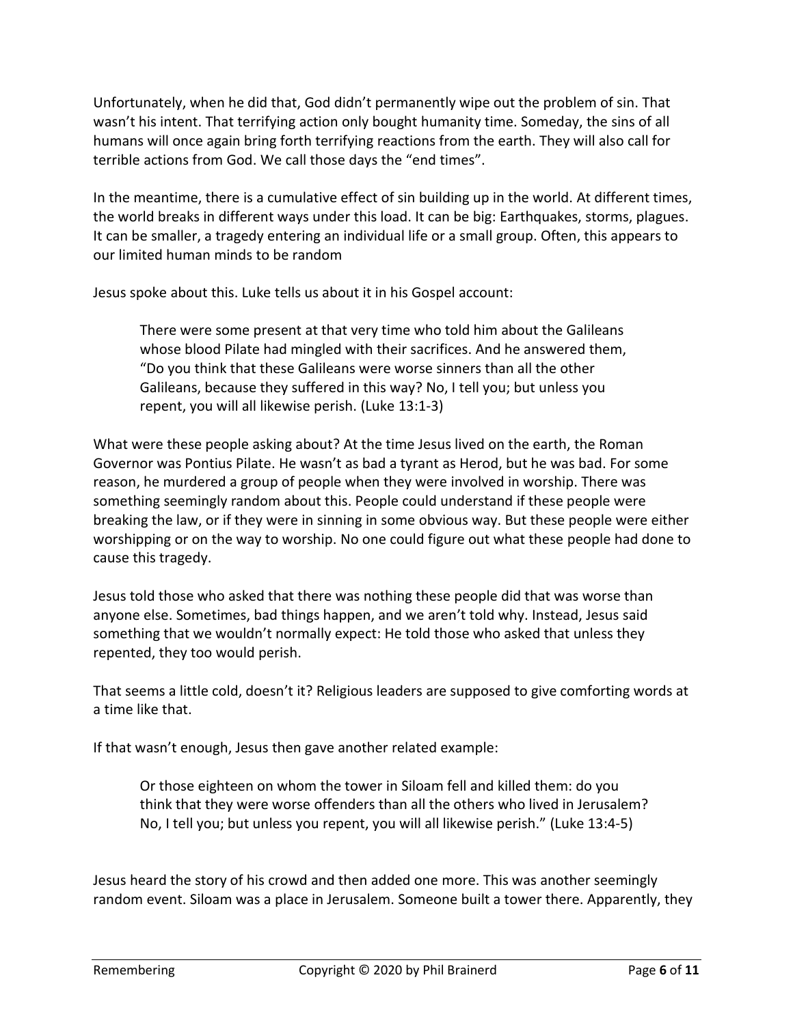Unfortunately, when he did that, God didn't permanently wipe out the problem of sin. That wasn't his intent. That terrifying action only bought humanity time. Someday, the sins of all humans will once again bring forth terrifying reactions from the earth. They will also call for terrible actions from God. We call those days the "end times".

In the meantime, there is a cumulative effect of sin building up in the world. At different times, the world breaks in different ways under this load. It can be big: Earthquakes, storms, plagues. It can be smaller, a tragedy entering an individual life or a small group. Often, this appears to our limited human minds to be random

Jesus spoke about this. Luke tells us about it in his Gospel account:

There were some present at that very time who told him about the Galileans whose blood Pilate had mingled with their sacrifices. And he answered them, "Do you think that these Galileans were worse sinners than all the other Galileans, because they suffered in this way? No, I tell you; but unless you repent, you will all likewise perish. (Luke 13:1-3)

What were these people asking about? At the time Jesus lived on the earth, the Roman Governor was Pontius Pilate. He wasn't as bad a tyrant as Herod, but he was bad. For some reason, he murdered a group of people when they were involved in worship. There was something seemingly random about this. People could understand if these people were breaking the law, or if they were in sinning in some obvious way. But these people were either worshipping or on the way to worship. No one could figure out what these people had done to cause this tragedy.

Jesus told those who asked that there was nothing these people did that was worse than anyone else. Sometimes, bad things happen, and we aren't told why. Instead, Jesus said something that we wouldn't normally expect: He told those who asked that unless they repented, they too would perish.

That seems a little cold, doesn't it? Religious leaders are supposed to give comforting words at a time like that.

If that wasn't enough, Jesus then gave another related example:

Or those eighteen on whom the tower in Siloam fell and killed them: do you think that they were worse offenders than all the others who lived in Jerusalem? No, I tell you; but unless you repent, you will all likewise perish." (Luke 13:4-5)

Jesus heard the story of his crowd and then added one more. This was another seemingly random event. Siloam was a place in Jerusalem. Someone built a tower there. Apparently, they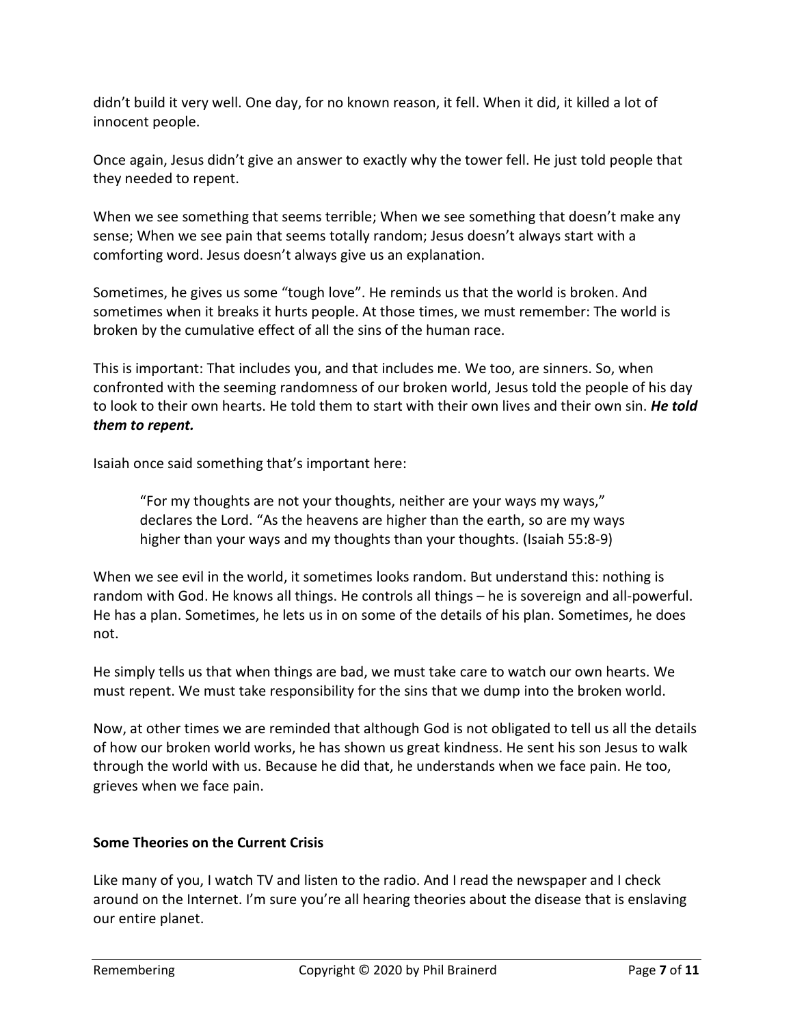didn't build it very well. One day, for no known reason, it fell. When it did, it killed a lot of innocent people.

Once again, Jesus didn't give an answer to exactly why the tower fell. He just told people that they needed to repent.

When we see something that seems terrible; When we see something that doesn't make any sense; When we see pain that seems totally random; Jesus doesn't always start with a comforting word. Jesus doesn't always give us an explanation.

Sometimes, he gives us some "tough love". He reminds us that the world is broken. And sometimes when it breaks it hurts people. At those times, we must remember: The world is broken by the cumulative effect of all the sins of the human race.

This is important: That includes you, and that includes me. We too, are sinners. So, when confronted with the seeming randomness of our broken world, Jesus told the people of his day to look to their own hearts. He told them to start with their own lives and their own sin. *He told them to repent.*

Isaiah once said something that's important here:

"For my thoughts are not your thoughts, neither are your ways my ways," declares the Lord. "As the heavens are higher than the earth, so are my ways higher than your ways and my thoughts than your thoughts. (Isaiah 55:8-9)

When we see evil in the world, it sometimes looks random. But understand this: nothing is random with God. He knows all things. He controls all things – he is sovereign and all-powerful. He has a plan. Sometimes, he lets us in on some of the details of his plan. Sometimes, he does not.

He simply tells us that when things are bad, we must take care to watch our own hearts. We must repent. We must take responsibility for the sins that we dump into the broken world.

Now, at other times we are reminded that although God is not obligated to tell us all the details of how our broken world works, he has shown us great kindness. He sent his son Jesus to walk through the world with us. Because he did that, he understands when we face pain. He too, grieves when we face pain.

# **Some Theories on the Current Crisis**

Like many of you, I watch TV and listen to the radio. And I read the newspaper and I check around on the Internet. I'm sure you're all hearing theories about the disease that is enslaving our entire planet.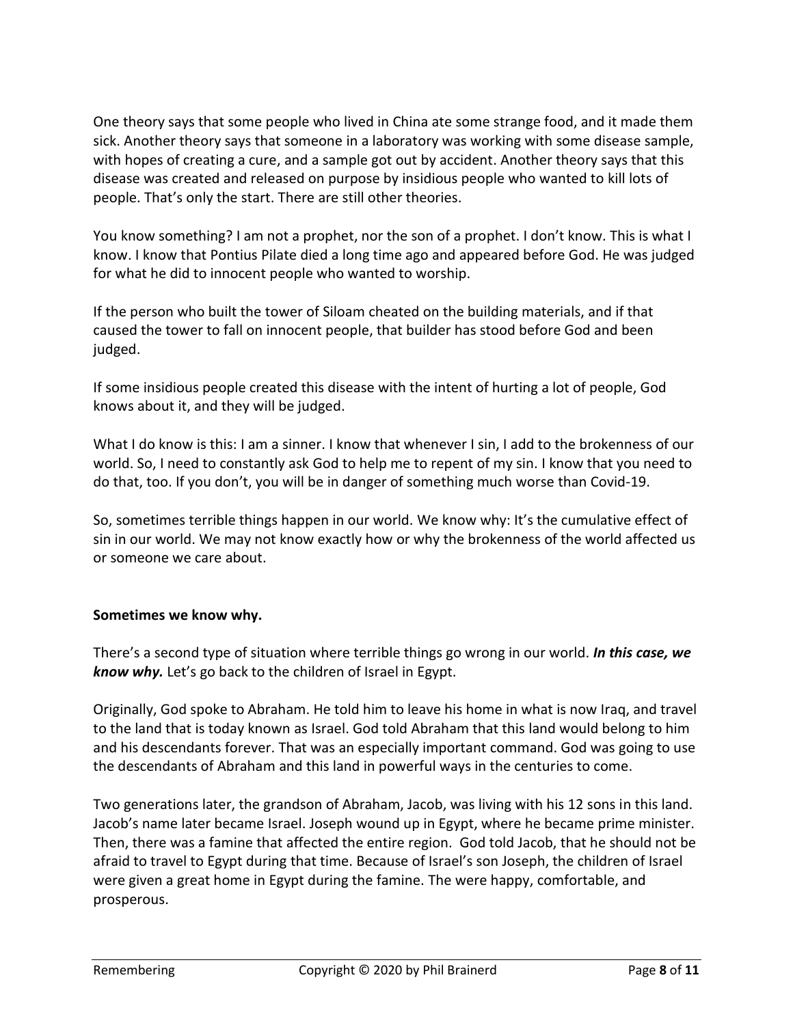One theory says that some people who lived in China ate some strange food, and it made them sick. Another theory says that someone in a laboratory was working with some disease sample, with hopes of creating a cure, and a sample got out by accident. Another theory says that this disease was created and released on purpose by insidious people who wanted to kill lots of people. That's only the start. There are still other theories.

You know something? I am not a prophet, nor the son of a prophet. I don't know. This is what I know. I know that Pontius Pilate died a long time ago and appeared before God. He was judged for what he did to innocent people who wanted to worship.

If the person who built the tower of Siloam cheated on the building materials, and if that caused the tower to fall on innocent people, that builder has stood before God and been judged.

If some insidious people created this disease with the intent of hurting a lot of people, God knows about it, and they will be judged.

What I do know is this: I am a sinner. I know that whenever I sin, I add to the brokenness of our world. So, I need to constantly ask God to help me to repent of my sin. I know that you need to do that, too. If you don't, you will be in danger of something much worse than Covid-19.

So, sometimes terrible things happen in our world. We know why: It's the cumulative effect of sin in our world. We may not know exactly how or why the brokenness of the world affected us or someone we care about.

# **Sometimes we know why.**

There's a second type of situation where terrible things go wrong in our world. *In this case, we know why.* Let's go back to the children of Israel in Egypt.

Originally, God spoke to Abraham. He told him to leave his home in what is now Iraq, and travel to the land that is today known as Israel. God told Abraham that this land would belong to him and his descendants forever. That was an especially important command. God was going to use the descendants of Abraham and this land in powerful ways in the centuries to come.

Two generations later, the grandson of Abraham, Jacob, was living with his 12 sons in this land. Jacob's name later became Israel. Joseph wound up in Egypt, where he became prime minister. Then, there was a famine that affected the entire region. God told Jacob, that he should not be afraid to travel to Egypt during that time. Because of Israel's son Joseph, the children of Israel were given a great home in Egypt during the famine. The were happy, comfortable, and prosperous.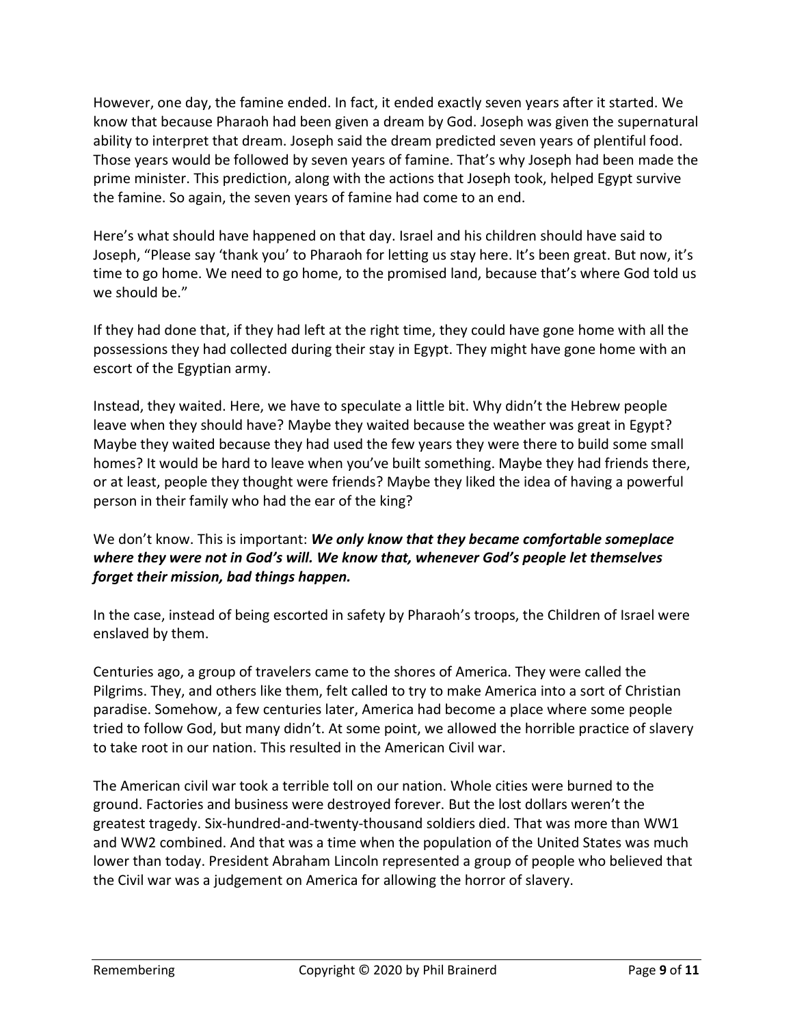However, one day, the famine ended. In fact, it ended exactly seven years after it started. We know that because Pharaoh had been given a dream by God. Joseph was given the supernatural ability to interpret that dream. Joseph said the dream predicted seven years of plentiful food. Those years would be followed by seven years of famine. That's why Joseph had been made the prime minister. This prediction, along with the actions that Joseph took, helped Egypt survive the famine. So again, the seven years of famine had come to an end.

Here's what should have happened on that day. Israel and his children should have said to Joseph, "Please say 'thank you' to Pharaoh for letting us stay here. It's been great. But now, it's time to go home. We need to go home, to the promised land, because that's where God told us we should be."

If they had done that, if they had left at the right time, they could have gone home with all the possessions they had collected during their stay in Egypt. They might have gone home with an escort of the Egyptian army.

Instead, they waited. Here, we have to speculate a little bit. Why didn't the Hebrew people leave when they should have? Maybe they waited because the weather was great in Egypt? Maybe they waited because they had used the few years they were there to build some small homes? It would be hard to leave when you've built something. Maybe they had friends there, or at least, people they thought were friends? Maybe they liked the idea of having a powerful person in their family who had the ear of the king?

We don't know. This is important: *We only know that they became comfortable someplace where they were not in God's will. We know that, whenever God's people let themselves forget their mission, bad things happen.*

In the case, instead of being escorted in safety by Pharaoh's troops, the Children of Israel were enslaved by them.

Centuries ago, a group of travelers came to the shores of America. They were called the Pilgrims. They, and others like them, felt called to try to make America into a sort of Christian paradise. Somehow, a few centuries later, America had become a place where some people tried to follow God, but many didn't. At some point, we allowed the horrible practice of slavery to take root in our nation. This resulted in the American Civil war.

The American civil war took a terrible toll on our nation. Whole cities were burned to the ground. Factories and business were destroyed forever. But the lost dollars weren't the greatest tragedy. Six-hundred-and-twenty-thousand soldiers died. That was more than WW1 and WW2 combined. And that was a time when the population of the United States was much lower than today. President Abraham Lincoln represented a group of people who believed that the Civil war was a judgement on America for allowing the horror of slavery.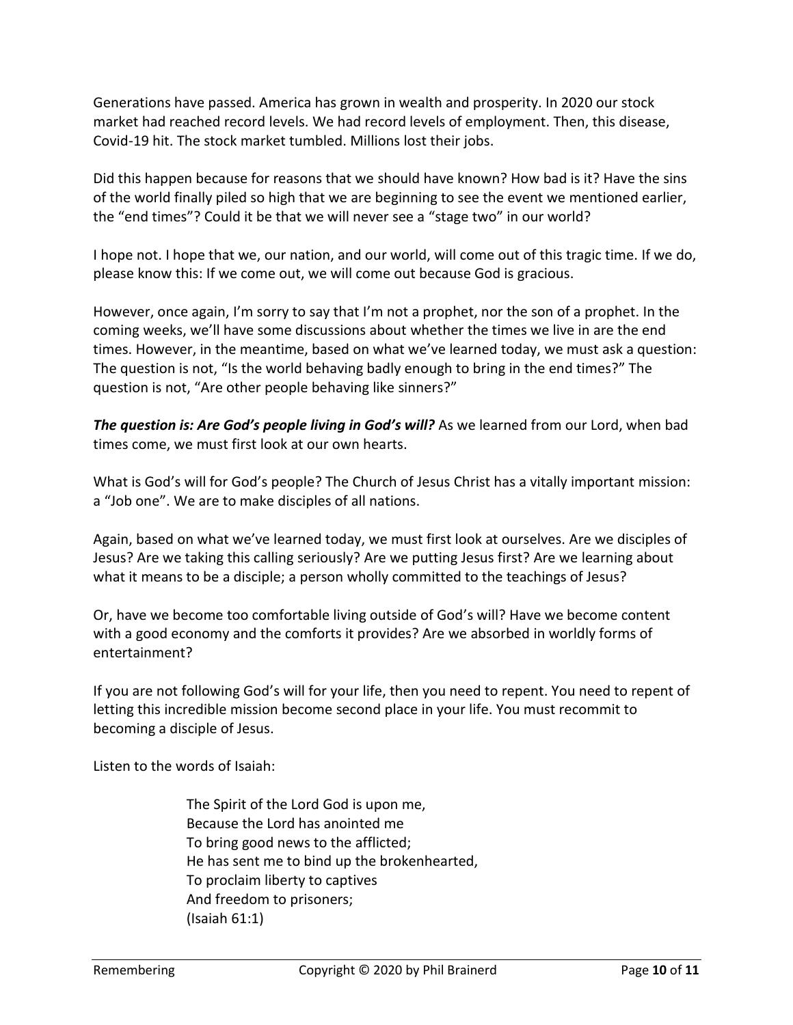Generations have passed. America has grown in wealth and prosperity. In 2020 our stock market had reached record levels. We had record levels of employment. Then, this disease, Covid-19 hit. The stock market tumbled. Millions lost their jobs.

Did this happen because for reasons that we should have known? How bad is it? Have the sins of the world finally piled so high that we are beginning to see the event we mentioned earlier, the "end times"? Could it be that we will never see a "stage two" in our world?

I hope not. I hope that we, our nation, and our world, will come out of this tragic time. If we do, please know this: If we come out, we will come out because God is gracious.

However, once again, I'm sorry to say that I'm not a prophet, nor the son of a prophet. In the coming weeks, we'll have some discussions about whether the times we live in are the end times. However, in the meantime, based on what we've learned today, we must ask a question: The question is not, "Is the world behaving badly enough to bring in the end times?" The question is not, "Are other people behaving like sinners?"

*The question is: Are God's people living in God's will?* As we learned from our Lord, when bad times come, we must first look at our own hearts.

What is God's will for God's people? The Church of Jesus Christ has a vitally important mission: a "Job one". We are to make disciples of all nations.

Again, based on what we've learned today, we must first look at ourselves. Are we disciples of Jesus? Are we taking this calling seriously? Are we putting Jesus first? Are we learning about what it means to be a disciple; a person wholly committed to the teachings of Jesus?

Or, have we become too comfortable living outside of God's will? Have we become content with a good economy and the comforts it provides? Are we absorbed in worldly forms of entertainment?

If you are not following God's will for your life, then you need to repent. You need to repent of letting this incredible mission become second place in your life. You must recommit to becoming a disciple of Jesus.

Listen to the words of Isaiah:

The Spirit of the Lord God is upon me, Because the Lord has anointed me To bring good news to the afflicted; He has sent me to bind up the brokenhearted, To proclaim liberty to captives And freedom to prisoners; (Isaiah 61:1)